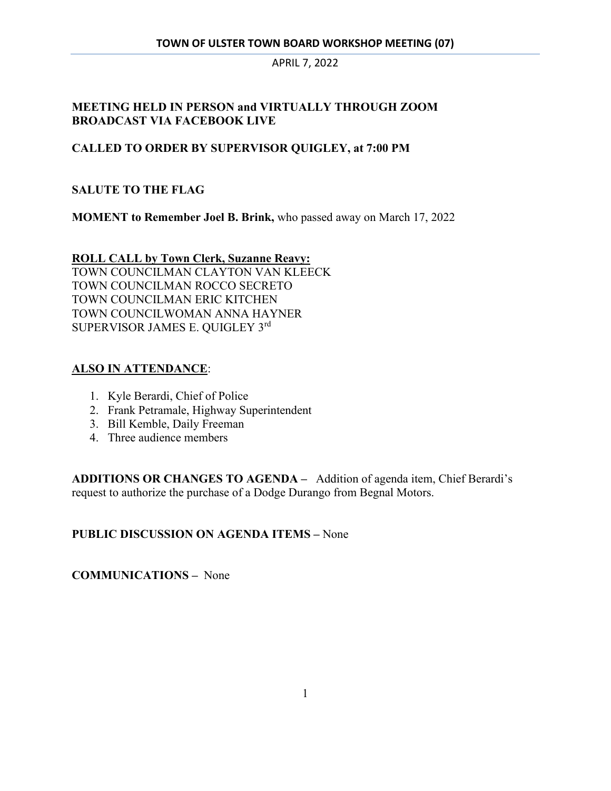## **MEETING HELD IN PERSON and VIRTUALLY THROUGH ZOOM BROADCAST VIA FACEBOOK LIVE**

#### **CALLED TO ORDER BY SUPERVISOR QUIGLEY, at 7:00 PM**

#### **SALUTE TO THE FLAG**

**MOMENT to Remember Joel B. Brink,** who passed away on March 17, 2022

**ROLL CALL by Town Clerk, Suzanne Reavy:**  TOWN COUNCILMAN CLAYTON VAN KLEECK TOWN COUNCILMAN ROCCO SECRETO TOWN COUNCILMAN ERIC KITCHEN TOWN COUNCILWOMAN ANNA HAYNER SUPERVISOR JAMES E. QUIGLEY 3rd

#### **ALSO IN ATTENDANCE**:

- 1. Kyle Berardi, Chief of Police
- 2. Frank Petramale, Highway Superintendent
- 3. Bill Kemble, Daily Freeman
- 4. Three audience members

**ADDITIONS OR CHANGES TO AGENDA –** Addition of agenda item, Chief Berardi's request to authorize the purchase of a Dodge Durango from Begnal Motors.

#### **PUBLIC DISCUSSION ON AGENDA ITEMS –** None

**COMMUNICATIONS –** None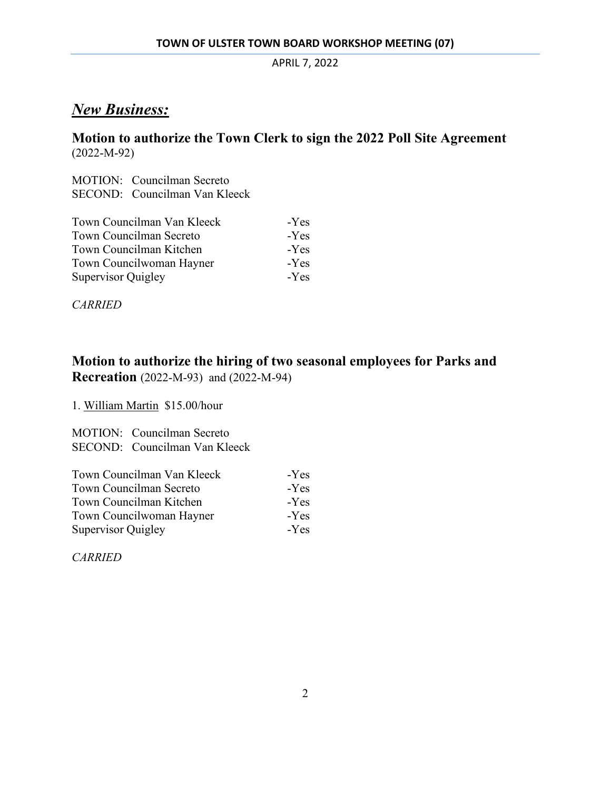## *New Business:*

## **Motion to authorize the Town Clerk to sign the 2022 Poll Site Agreement**  (2022-M-92)

MOTION: Councilman Secreto SECOND: Councilman Van Kleeck

| Town Councilman Van Kleeck     | $-Yes$ |
|--------------------------------|--------|
| <b>Town Councilman Secreto</b> | $-Yes$ |
| Town Councilman Kitchen        | $-Yes$ |
| Town Councilwoman Hayner       | -Yes   |
| <b>Supervisor Quigley</b>      | $-Yes$ |

*CARRIED* 

## **Motion to authorize the hiring of two seasonal employees for Parks and Recreation** (2022-M-93) and (2022-M-94)

1. William Martin \$15.00/hour

MOTION: Councilman Secreto SECOND: Councilman Van Kleeck

| Town Councilman Van Kleeck | -Yes |
|----------------------------|------|
| Town Councilman Secreto    | -Yes |
| Town Councilman Kitchen    | -Yes |
| Town Councilwoman Hayner   | -Yes |
| Supervisor Quigley         | -Yes |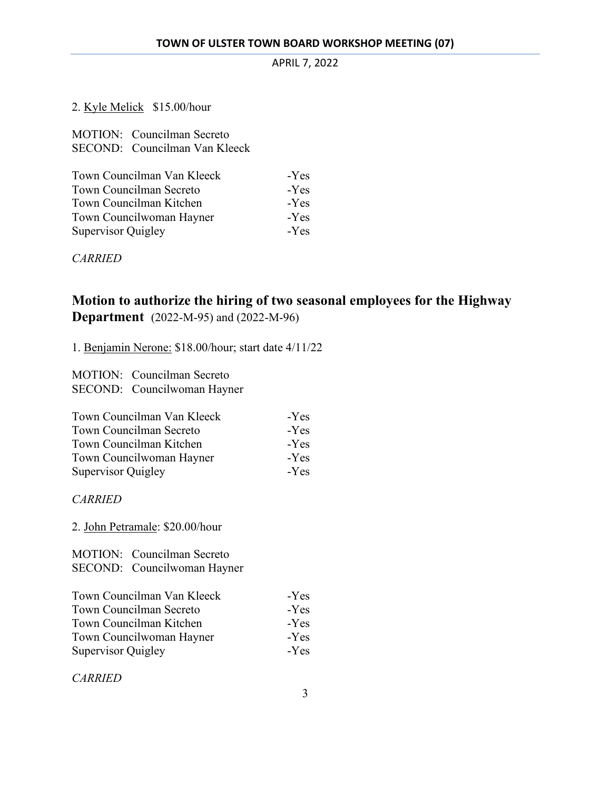#### 2. Kyle Melick \$15.00/hour

| <b>MOTION:</b> Councilman Secreto |        |
|-----------------------------------|--------|
| SECOND: Councilman Van Kleeck     |        |
|                                   |        |
| Town Councilman Van Kleeck        | $-Yes$ |
| <b>Town Councilman Secreto</b>    |        |
| Town Councilman Kitchen           | -Yes   |
| Town Councilwoman Hayner          | -Yes   |
| Supervisor Quigley                | -Yes   |

*CARRIED* 

## **Motion to authorize the hiring of two seasonal employees for the Highway Department** (2022-M-95) and (2022-M-96)

1. Benjamin Nerone: \$18.00/hour; start date 4/11/22

MOTION: Councilman Secreto SECOND: Councilwoman Hayner

| Town Councilman Van Kleeck     | -Yes |
|--------------------------------|------|
| <b>Town Councilman Secreto</b> | -Yes |
| Town Councilman Kitchen        | -Yes |
| Town Councilwoman Hayner       | -Yes |
| <b>Supervisor Quigley</b>      | -Yes |

*CARRIED* 

2. John Petramale: \$20.00/hour

MOTION: Councilman Secreto SECOND: Councilwoman Hayner

| Town Councilman Van Kleeck | -Yes   |
|----------------------------|--------|
| Town Councilman Secreto    | $-Yes$ |
| Town Councilman Kitchen    | -Yes   |
| Town Councilwoman Hayner   | -Yes   |
| <b>Supervisor Quigley</b>  | -Yes   |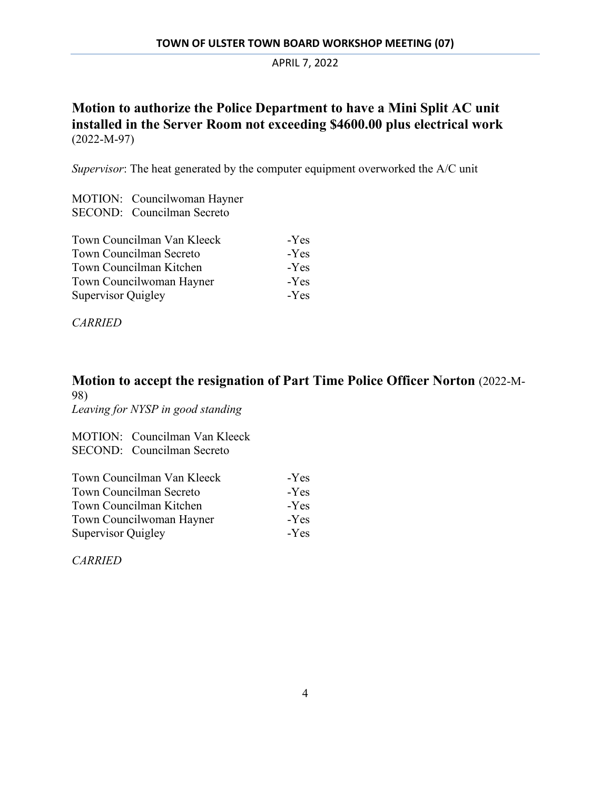## **Motion to authorize the Police Department to have a Mini Split AC unit installed in the Server Room not exceeding \$4600.00 plus electrical work**  (2022-M-97)

*Supervisor*: The heat generated by the computer equipment overworked the A/C unit

MOTION: Councilwoman Hayner SECOND: Councilman Secreto

| Town Councilman Van Kleeck | -Yes   |
|----------------------------|--------|
| Town Councilman Secreto    | -Yes   |
| Town Councilman Kitchen    | $-Yes$ |
| Town Councilwoman Hayner   | $-Yes$ |
| <b>Supervisor Quigley</b>  | $-Yes$ |

*CARRIED*

# **Motion to accept the resignation of Part Time Police Officer Norton** (2022-M-98)

*Leaving for NYSP in good standing*

MOTION: Councilman Van Kleeck SECOND: Councilman Secreto

| Town Councilman Van Kleeck | -Yes   |
|----------------------------|--------|
| Town Councilman Secreto    | -Yes   |
| Town Councilman Kitchen    | $-Yes$ |
| Town Councilwoman Hayner   | -Yes   |
| <b>Supervisor Quigley</b>  | $-Yes$ |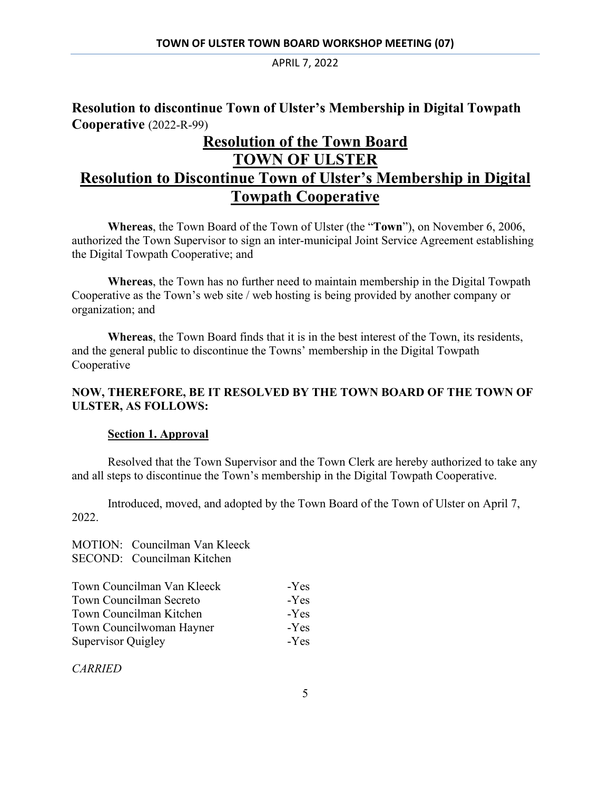## **Resolution to discontinue Town of Ulster's Membership in Digital Towpath Cooperative** (2022-R-99)

# **Resolution of the Town Board TOWN OF ULSTER Resolution to Discontinue Town of Ulster's Membership in Digital Towpath Cooperative**

**Whereas**, the Town Board of the Town of Ulster (the "**Town**"), on November 6, 2006, authorized the Town Supervisor to sign an inter-municipal Joint Service Agreement establishing the Digital Towpath Cooperative; and

**Whereas**, the Town has no further need to maintain membership in the Digital Towpath Cooperative as the Town's web site / web hosting is being provided by another company or organization; and

**Whereas**, the Town Board finds that it is in the best interest of the Town, its residents, and the general public to discontinue the Towns' membership in the Digital Towpath Cooperative

#### **NOW, THEREFORE, BE IT RESOLVED BY THE TOWN BOARD OF THE TOWN OF ULSTER, AS FOLLOWS:**

#### **Section 1. Approval**

 Resolved that the Town Supervisor and the Town Clerk are hereby authorized to take any and all steps to discontinue the Town's membership in the Digital Towpath Cooperative.

 Introduced, moved, and adopted by the Town Board of the Town of Ulster on April 7, 2022.

MOTION: Councilman Van Kleeck SECOND: Councilman Kitchen

| Town Councilman Van Kleeck     | -Yes |
|--------------------------------|------|
| <b>Town Councilman Secreto</b> | -Yes |
| Town Councilman Kitchen        | -Yes |
| Town Councilwoman Hayner       | -Yes |
| Supervisor Quigley             | -Yes |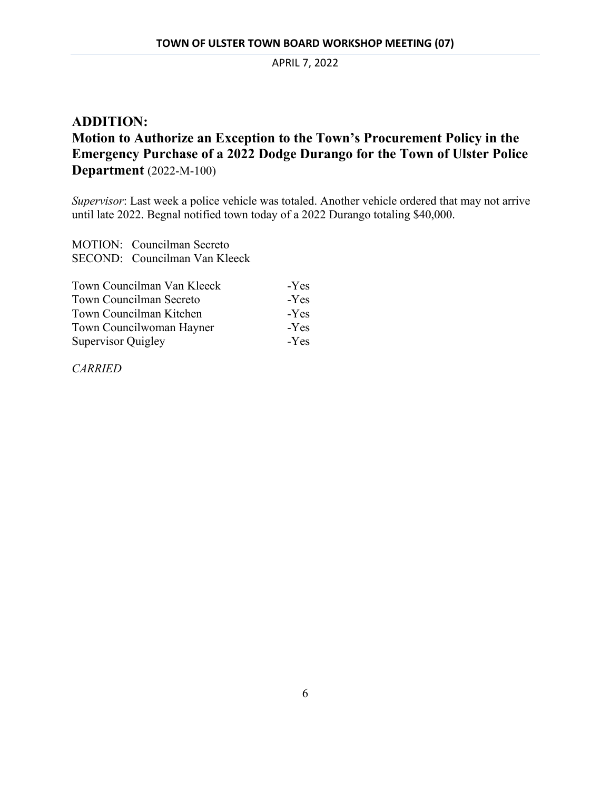## **ADDITION: Motion to Authorize an Exception to the Town's Procurement Policy in the Emergency Purchase of a 2022 Dodge Durango for the Town of Ulster Police Department** (2022-M-100)

*Supervisor*: Last week a police vehicle was totaled. Another vehicle ordered that may not arrive until late 2022. Begnal notified town today of a 2022 Durango totaling \$40,000.

MOTION: Councilman Secreto SECOND: Councilman Van Kleeck

| Town Councilman Van Kleeck | $-Yes$ |
|----------------------------|--------|
| Town Councilman Secreto    | $-Yes$ |
| Town Councilman Kitchen    | $-Yes$ |
| Town Councilwoman Hayner   | $-Yes$ |
| <b>Supervisor Quigley</b>  | -Yes   |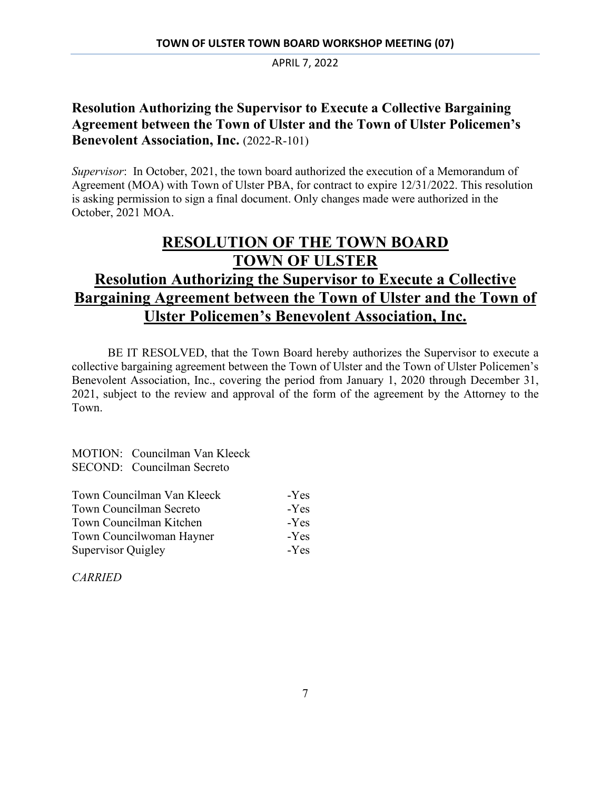## **Resolution Authorizing the Supervisor to Execute a Collective Bargaining Agreement between the Town of Ulster and the Town of Ulster Policemen's Benevolent Association, Inc. (2022-R-101)**

*Supervisor*: In October, 2021, the town board authorized the execution of a Memorandum of Agreement (MOA) with Town of Ulster PBA, for contract to expire 12/31/2022. This resolution is asking permission to sign a final document. Only changes made were authorized in the October, 2021 MOA.

# **RESOLUTION OF THE TOWN BOARD TOWN OF ULSTER Resolution Authorizing the Supervisor to Execute a Collective Bargaining Agreement between the Town of Ulster and the Town of Ulster Policemen's Benevolent Association, Inc.**

BE IT RESOLVED, that the Town Board hereby authorizes the Supervisor to execute a collective bargaining agreement between the Town of Ulster and the Town of Ulster Policemen's Benevolent Association, Inc., covering the period from January 1, 2020 through December 31, 2021, subject to the review and approval of the form of the agreement by the Attorney to the Town.

MOTION: Councilman Van Kleeck SECOND: Councilman Secreto

| Town Councilman Van Kleeck     | $-Yes$ |
|--------------------------------|--------|
| <b>Town Councilman Secreto</b> | -Yes   |
| Town Councilman Kitchen        | -Yes   |
| Town Councilwoman Hayner       | -Yes   |
| Supervisor Quigley             | $-Yes$ |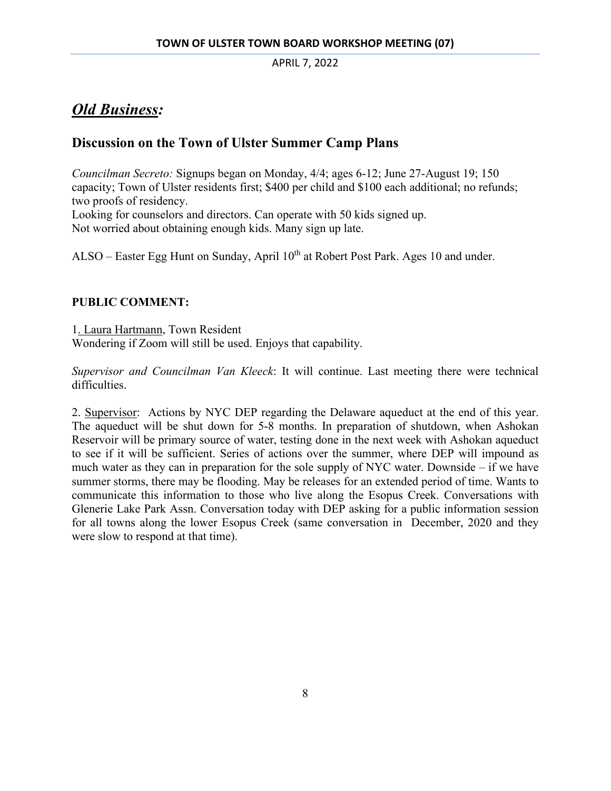# *Old Business:*

## **Discussion on the Town of Ulster Summer Camp Plans**

*Councilman Secreto:* Signups began on Monday, 4/4; ages 6-12; June 27-August 19; 150 capacity; Town of Ulster residents first; \$400 per child and \$100 each additional; no refunds; two proofs of residency.

Looking for counselors and directors. Can operate with 50 kids signed up.

Not worried about obtaining enough kids. Many sign up late.

ALSO – Easter Egg Hunt on Sunday, April 10<sup>th</sup> at Robert Post Park. Ages 10 and under.

## **PUBLIC COMMENT:**

1. Laura Hartmann, Town Resident Wondering if Zoom will still be used. Enjoys that capability.

*Supervisor and Councilman Van Kleeck*: It will continue. Last meeting there were technical difficulties.

2. Supervisor: Actions by NYC DEP regarding the Delaware aqueduct at the end of this year. The aqueduct will be shut down for 5-8 months. In preparation of shutdown, when Ashokan Reservoir will be primary source of water, testing done in the next week with Ashokan aqueduct to see if it will be sufficient. Series of actions over the summer, where DEP will impound as much water as they can in preparation for the sole supply of NYC water. Downside – if we have summer storms, there may be flooding. May be releases for an extended period of time. Wants to communicate this information to those who live along the Esopus Creek. Conversations with Glenerie Lake Park Assn. Conversation today with DEP asking for a public information session for all towns along the lower Esopus Creek (same conversation in December, 2020 and they were slow to respond at that time).